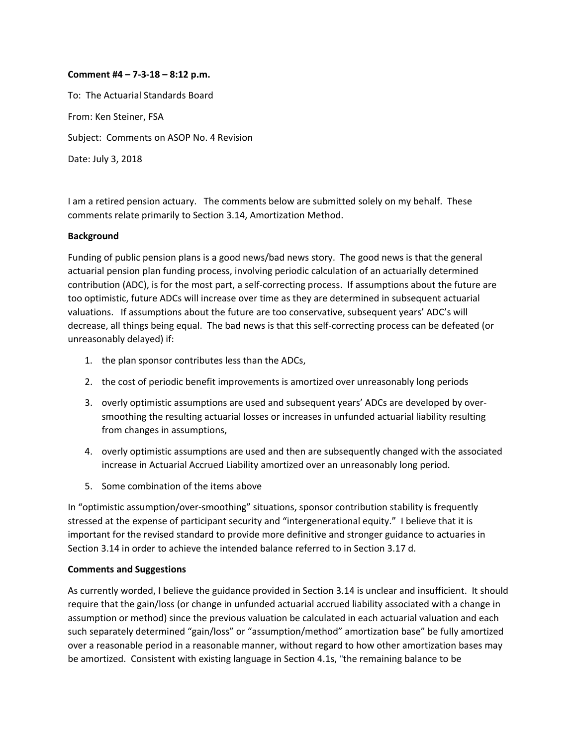## **Comment #4 – 7‐3‐18 – 8:12 p.m.**

To: The Actuarial Standards Board From: Ken Steiner, FSA Subject: Comments on ASOP No. 4 Revision Date: July 3, 2018

I am a retired pension actuary. The comments below are submitted solely on my behalf. These comments relate primarily to Section 3.14, Amortization Method.

## **Background**

Funding of public pension plans is a good news/bad news story. The good news is that the general actuarial pension plan funding process, involving periodic calculation of an actuarially determined contribution (ADC), is for the most part, a self‐correcting process. If assumptions about the future are too optimistic, future ADCs will increase over time as they are determined in subsequent actuarial valuations. If assumptions about the future are too conservative, subsequent years' ADC's will decrease, all things being equal. The bad news is that this self‐correcting process can be defeated (or unreasonably delayed) if:

- 1. the plan sponsor contributes less than the ADCs,
- 2. the cost of periodic benefit improvements is amortized over unreasonably long periods
- 3. overly optimistic assumptions are used and subsequent years' ADCs are developed by over‐ smoothing the resulting actuarial losses or increases in unfunded actuarial liability resulting from changes in assumptions,
- 4. overly optimistic assumptions are used and then are subsequently changed with the associated increase in Actuarial Accrued Liability amortized over an unreasonably long period.
- 5. Some combination of the items above

In "optimistic assumption/over‐smoothing" situations, sponsor contribution stability is frequently stressed at the expense of participant security and "intergenerational equity." I believe that it is important for the revised standard to provide more definitive and stronger guidance to actuaries in Section 3.14 in order to achieve the intended balance referred to in Section 3.17 d.

## **Comments and Suggestions**

As currently worded, I believe the guidance provided in Section 3.14 is unclear and insufficient. It should require that the gain/loss (or change in unfunded actuarial accrued liability associated with a change in assumption or method) since the previous valuation be calculated in each actuarial valuation and each such separately determined "gain/loss" or "assumption/method" amortization base" be fully amortized over a reasonable period in a reasonable manner, without regard to how other amortization bases may be amortized. Consistent with existing language in Section 4.1s, "the remaining balance to be